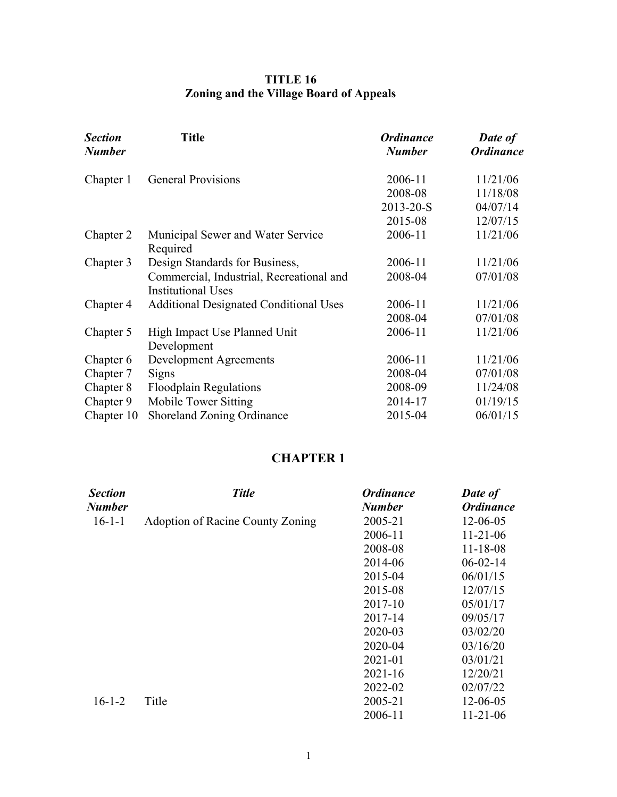## **TITLE 16 Zoning and the Village Board of Appeals**

| <b>Section</b><br><b>Number</b> | <b>Title</b>                                                          | <b>Ordinance</b><br><b>Number</b> | Date of<br><b>Ordinance</b> |
|---------------------------------|-----------------------------------------------------------------------|-----------------------------------|-----------------------------|
| Chapter 1                       | <b>General Provisions</b>                                             | 2006-11                           | 11/21/06                    |
|                                 |                                                                       | 2008-08                           | 11/18/08                    |
|                                 |                                                                       | 2013-20-S                         | 04/07/14                    |
|                                 |                                                                       | 2015-08                           | 12/07/15                    |
| Chapter 2                       | Municipal Sewer and Water Service<br>Required                         | 2006-11                           | 11/21/06                    |
| Chapter 3                       | Design Standards for Business,                                        | 2006-11                           | 11/21/06                    |
|                                 | Commercial, Industrial, Recreational and<br><b>Institutional Uses</b> | 2008-04                           | 07/01/08                    |
| Chapter 4                       | <b>Additional Designated Conditional Uses</b>                         | 2006-11                           | 11/21/06                    |
|                                 |                                                                       | 2008-04                           | 07/01/08                    |
| Chapter 5                       | High Impact Use Planned Unit<br>Development                           | 2006-11                           | 11/21/06                    |
| Chapter 6                       | <b>Development Agreements</b>                                         | 2006-11                           | 11/21/06                    |
| Chapter 7                       | Signs                                                                 | 2008-04                           | 07/01/08                    |
| Chapter 8                       | <b>Floodplain Regulations</b>                                         | 2008-09                           | 11/24/08                    |
| Chapter 9                       | Mobile Tower Sitting                                                  | 2014-17                           | 01/19/15                    |
| Chapter 10                      | Shoreland Zoning Ordinance                                            | 2015-04                           | 06/01/15                    |

# **CHAPTER 1**

| <b>Section</b> | <b>Title</b>                     | <b>Ordinance</b> | Date of          |
|----------------|----------------------------------|------------------|------------------|
| <b>Number</b>  |                                  | <b>Number</b>    | <b>Ordinance</b> |
| $16 - 1 - 1$   | Adoption of Racine County Zoning | 2005-21          | $12 - 06 - 05$   |
|                |                                  | 2006-11          | $11-21-06$       |
|                |                                  | 2008-08          | $11 - 18 - 08$   |
|                |                                  | 2014-06          | $06 - 02 - 14$   |
|                |                                  | 2015-04          | 06/01/15         |
|                |                                  | 2015-08          | 12/07/15         |
|                |                                  | 2017-10          | 05/01/17         |
|                |                                  | 2017-14          | 09/05/17         |
|                |                                  | 2020-03          | 03/02/20         |
|                |                                  | 2020-04          | 03/16/20         |
|                |                                  | 2021-01          | 03/01/21         |
|                |                                  | $2021 - 16$      | 12/20/21         |
|                |                                  | 2022-02          | 02/07/22         |
| $16 - 1 - 2$   | Title                            | 2005-21          | $12 - 06 - 05$   |
|                |                                  | 2006-11          | $11-21-06$       |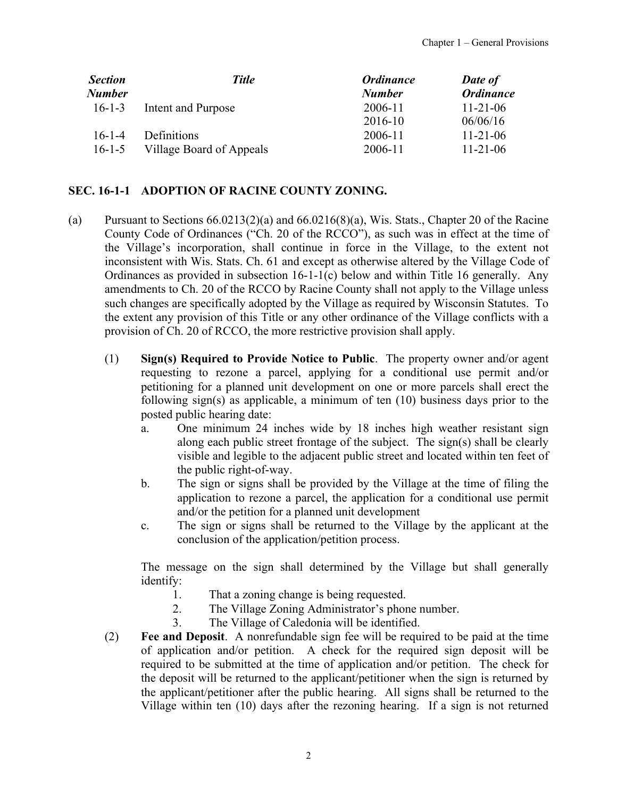<span id="page-1-0"></span>

| <b>Section</b> | <b>Title</b>             | <b>Ordinance</b> | Date of          |
|----------------|--------------------------|------------------|------------------|
| Number         |                          | <b>Number</b>    | <b>Ordinance</b> |
| $16 - 1 - 3$   | Intent and Purpose       | 2006-11          | $11 - 21 - 06$   |
|                |                          | 2016-10          | 06/06/16         |
| $16 - 1 - 4$   | Definitions              | 2006-11          | $11 - 21 - 06$   |
| $16 - 1 - 5$   | Village Board of Appeals | 2006-11          | $11 - 21 - 06$   |

### **SEC. 16-1-1 ADOPTION OF RACINE COUNTY ZONING.**

- (a) Pursuant to Sections  $66.0213(2)(a)$  and  $66.0216(8)(a)$ , Wis. Stats., Chapter 20 of the Racine County Code of Ordinances ("Ch. 20 of the RCCO"), as such was in effect at the time of the Village's incorporation, shall continue in force in the Village, to the extent not inconsistent with Wis. Stats. Ch. 61 and except as otherwise altered by the Village Code of Ordinances as provided in subsection 16-1-1(c) below and within Title 16 generally. Any amendments to Ch. 20 of the RCCO by Racine County shall not apply to the Village unless such changes are specifically adopted by the Village as required by Wisconsin Statutes. To the extent any provision of this Title or any other ordinance of the Village conflicts with a provision of Ch. 20 of RCCO, the more restrictive provision shall apply.
	- (1) **Sign(s) Required to Provide Notice to Public**. The property owner and/or agent requesting to rezone a parcel, applying for a conditional use permit and/or petitioning for a planned unit development on one or more parcels shall erect the following sign(s) as applicable, a minimum of ten (10) business days prior to the posted public hearing date:
		- a. One minimum 24 inches wide by 18 inches high weather resistant sign along each public street frontage of the subject. The sign(s) shall be clearly visible and legible to the adjacent public street and located within ten feet of the public right-of-way.
		- b. The sign or signs shall be provided by the Village at the time of filing the application to rezone a parcel, the application for a conditional use permit and/or the petition for a planned unit development
		- c. The sign or signs shall be returned to the Village by the applicant at the conclusion of the application/petition process.

The message on the sign shall determined by the Village but shall generally identify:

- 1. That a zoning change is being requested.
- 2. The Village Zoning Administrator's phone number.
- 3. The Village of Caledonia will be identified.
- (2) **Fee and Deposit**. A nonrefundable sign fee will be required to be paid at the time of application and/or petition. A check for the required sign deposit will be required to be submitted at the time of application and/or petition. The check for the deposit will be returned to the applicant/petitioner when the sign is returned by the applicant/petitioner after the public hearing. All signs shall be returned to the Village within ten (10) days after the rezoning hearing. If a sign is not returned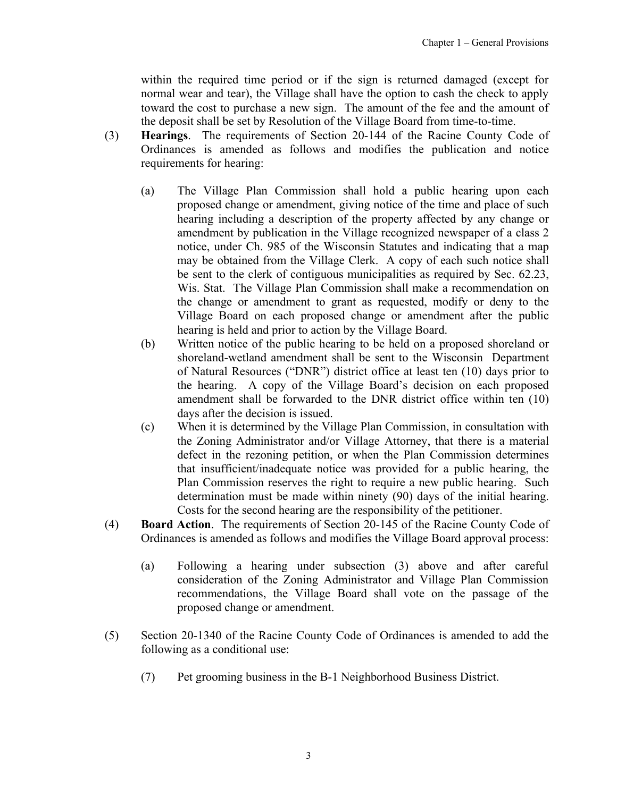within the required time period or if the sign is returned damaged (except for normal wear and tear), the Village shall have the option to cash the check to apply toward the cost to purchase a new sign. The amount of the fee and the amount of the deposit shall be set by Resolution of the Village Board from time-to-time.

- (3) **Hearings**. The requirements of Section 20-144 of the Racine County Code of Ordinances is amended as follows and modifies the publication and notice requirements for hearing:
	- (a) The Village Plan Commission shall hold a public hearing upon each proposed change or amendment, giving notice of the time and place of such hearing including a description of the property affected by any change or amendment by publication in the Village recognized newspaper of a class 2 notice, under Ch. 985 of the Wisconsin Statutes and indicating that a map may be obtained from the Village Clerk. A copy of each such notice shall be sent to the clerk of contiguous municipalities as required by Sec. 62.23, Wis. Stat. The Village Plan Commission shall make a recommendation on the change or amendment to grant as requested, modify or deny to the Village Board on each proposed change or amendment after the public hearing is held and prior to action by the Village Board.
	- (b) Written notice of the public hearing to be held on a proposed shoreland or shoreland-wetland amendment shall be sent to the Wisconsin Department of Natural Resources ("DNR") district office at least ten (10) days prior to the hearing. A copy of the Village Board's decision on each proposed amendment shall be forwarded to the DNR district office within ten (10) days after the decision is issued.
	- (c) When it is determined by the Village Plan Commission, in consultation with the Zoning Administrator and/or Village Attorney, that there is a material defect in the rezoning petition, or when the Plan Commission determines that insufficient/inadequate notice was provided for a public hearing, the Plan Commission reserves the right to require a new public hearing. Such determination must be made within ninety (90) days of the initial hearing. Costs for the second hearing are the responsibility of the petitioner.
- (4) **Board Action**. The requirements of Section 20-145 of the Racine County Code of Ordinances is amended as follows and modifies the Village Board approval process:
	- (a) Following a hearing under subsection (3) above and after careful consideration of the Zoning Administrator and Village Plan Commission recommendations, the Village Board shall vote on the passage of the proposed change or amendment.
- (5) Section 20-1340 of the Racine County Code of Ordinances is amended to add the following as a conditional use:
	- (7) Pet grooming business in the B-1 Neighborhood Business District.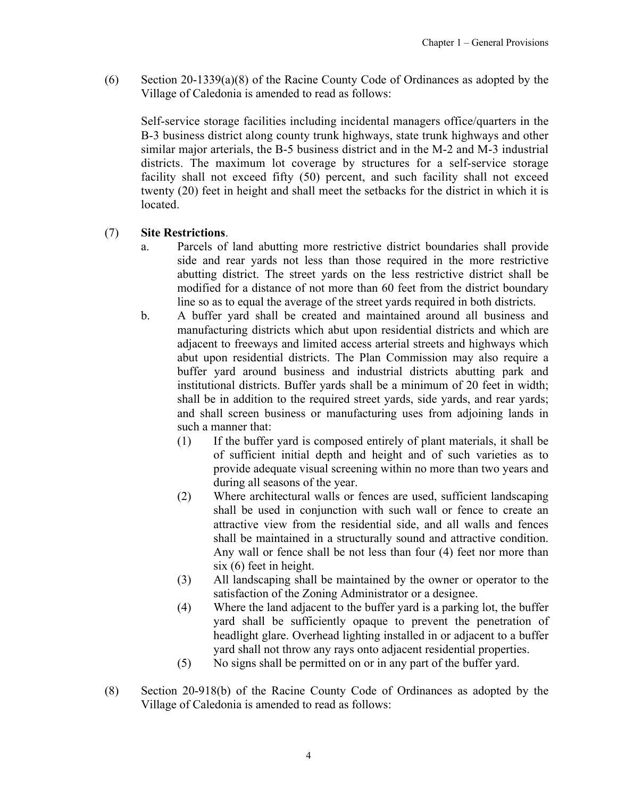(6) Section 20-1339(a)(8) of the Racine County Code of Ordinances as adopted by the Village of Caledonia is amended to read as follows:

Self-service storage facilities including incidental managers office/quarters in the B-3 business district along county trunk highways, state trunk highways and other similar major arterials, the B-5 business district and in the M-2 and M-3 industrial districts. The maximum lot coverage by structures for a self-service storage facility shall not exceed fifty (50) percent, and such facility shall not exceed twenty (20) feet in height and shall meet the setbacks for the district in which it is located.

### (7) **Site Restrictions**.

- a. Parcels of land abutting more restrictive district boundaries shall provide side and rear yards not less than those required in the more restrictive abutting district. The street yards on the less restrictive district shall be modified for a distance of not more than 60 feet from the district boundary line so as to equal the average of the street yards required in both districts.
- b. A buffer yard shall be created and maintained around all business and manufacturing districts which abut upon residential districts and which are adjacent to freeways and limited access arterial streets and highways which abut upon residential districts. The Plan Commission may also require a buffer yard around business and industrial districts abutting park and institutional districts. Buffer yards shall be a minimum of 20 feet in width; shall be in addition to the required street yards, side yards, and rear yards; and shall screen business or manufacturing uses from adjoining lands in such a manner that:
	- (1) If the buffer yard is composed entirely of plant materials, it shall be of sufficient initial depth and height and of such varieties as to provide adequate visual screening within no more than two years and during all seasons of the year.
	- (2) Where architectural walls or fences are used, sufficient landscaping shall be used in conjunction with such wall or fence to create an attractive view from the residential side, and all walls and fences shall be maintained in a structurally sound and attractive condition. Any wall or fence shall be not less than four (4) feet nor more than six (6) feet in height.
	- (3) All landscaping shall be maintained by the owner or operator to the satisfaction of the Zoning Administrator or a designee.
	- (4) Where the land adjacent to the buffer yard is a parking lot, the buffer yard shall be sufficiently opaque to prevent the penetration of headlight glare. Overhead lighting installed in or adjacent to a buffer yard shall not throw any rays onto adjacent residential properties.
	- (5) No signs shall be permitted on or in any part of the buffer yard.
- (8) Section 20-918(b) of the Racine County Code of Ordinances as adopted by the Village of Caledonia is amended to read as follows: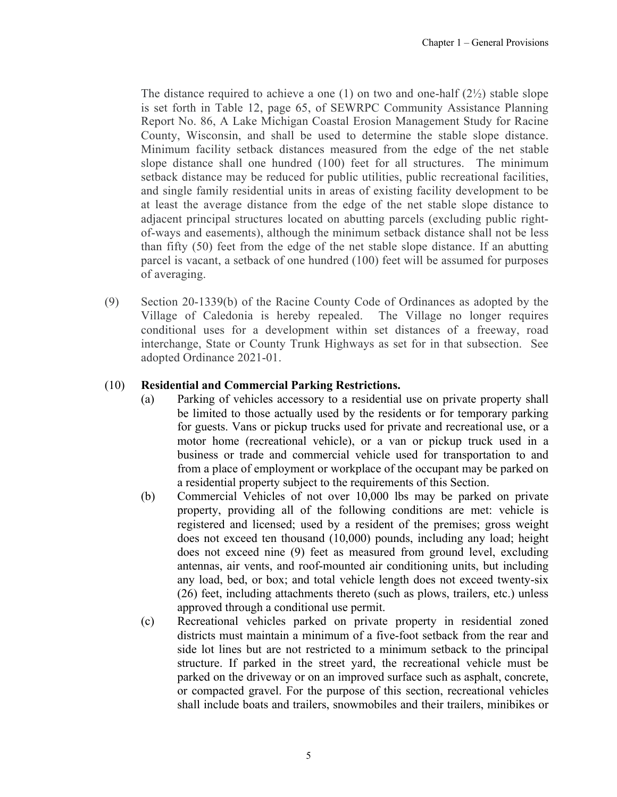The distance required to achieve a one (1) on two and one-half  $(2\frac{1}{2})$  stable slope is set forth in Table 12, page 65, of SEWRPC Community Assistance Planning Report No. 86, A Lake Michigan Coastal Erosion Management Study for Racine County, Wisconsin, and shall be used to determine the stable slope distance. Minimum facility setback distances measured from the edge of the net stable slope distance shall one hundred (100) feet for all structures. The minimum setback distance may be reduced for public utilities, public recreational facilities, and single family residential units in areas of existing facility development to be at least the average distance from the edge of the net stable slope distance to adjacent principal structures located on abutting parcels (excluding public rightof-ways and easements), although the minimum setback distance shall not be less than fifty (50) feet from the edge of the net stable slope distance. If an abutting parcel is vacant, a setback of one hundred (100) feet will be assumed for purposes of averaging.

(9) Section 20-1339(b) of the Racine County Code of Ordinances as adopted by the Village of Caledonia is hereby repealed. The Village no longer requires conditional uses for a development within set distances of a freeway, road interchange, State or County Trunk Highways as set for in that subsection. See adopted Ordinance 2021-01.

#### (10) **Residential and Commercial Parking Restrictions.**

- (a) Parking of vehicles accessory to a residential use on private property shall be limited to those actually used by the residents or for temporary parking for guests. Vans or pickup trucks used for private and recreational use, or a motor home (recreational vehicle), or a van or pickup truck used in a business or trade and commercial vehicle used for transportation to and from a place of employment or workplace of the occupant may be parked on a residential property subject to the requirements of this Section.
- (b) Commercial Vehicles of not over 10,000 lbs may be parked on private property, providing all of the following conditions are met: vehicle is registered and licensed; used by a resident of the premises; gross weight does not exceed ten thousand (10,000) pounds, including any load; height does not exceed nine (9) feet as measured from ground level, excluding antennas, air vents, and roof-mounted air conditioning units, but including any load, bed, or box; and total vehicle length does not exceed twenty-six (26) feet, including attachments thereto (such as plows, trailers, etc.) unless approved through a conditional use permit.
- (c) Recreational vehicles parked on private property in residential zoned districts must maintain a minimum of a five-foot setback from the rear and side lot lines but are not restricted to a minimum setback to the principal structure. If parked in the street yard, the recreational vehicle must be parked on the driveway or on an improved surface such as asphalt, concrete, or compacted gravel. For the purpose of this section, recreational vehicles shall include boats and trailers, snowmobiles and their trailers, minibikes or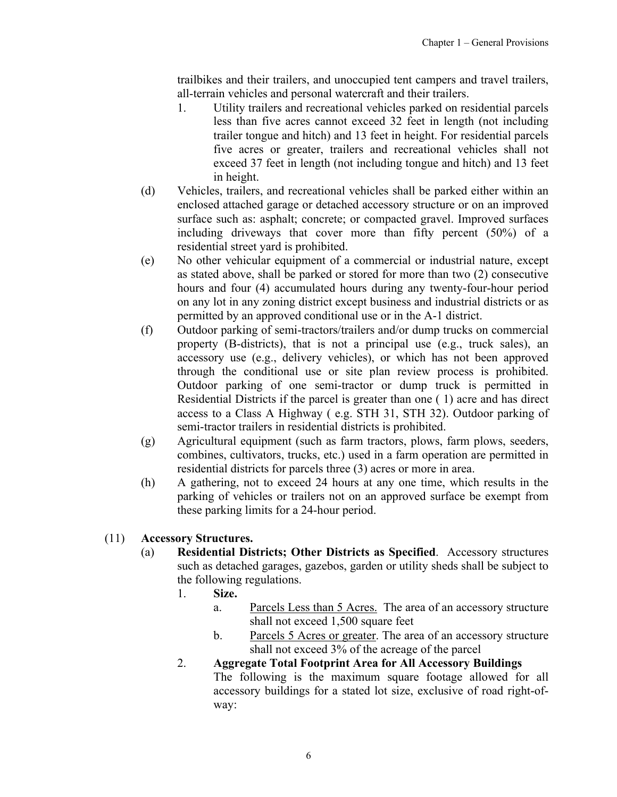trailbikes and their trailers, and unoccupied tent campers and travel trailers, all-terrain vehicles and personal watercraft and their trailers.

- 1. Utility trailers and recreational vehicles parked on residential parcels less than five acres cannot exceed 32 feet in length (not including trailer tongue and hitch) and 13 feet in height. For residential parcels five acres or greater, trailers and recreational vehicles shall not exceed 37 feet in length (not including tongue and hitch) and 13 feet in height.
- (d) Vehicles, trailers, and recreational vehicles shall be parked either within an enclosed attached garage or detached accessory structure or on an improved surface such as: asphalt; concrete; or compacted gravel. Improved surfaces including driveways that cover more than fifty percent (50%) of a residential street yard is prohibited.
- (e) No other vehicular equipment of a commercial or industrial nature, except as stated above, shall be parked or stored for more than two (2) consecutive hours and four (4) accumulated hours during any twenty-four-hour period on any lot in any zoning district except business and industrial districts or as permitted by an approved conditional use or in the A-1 district.
- (f) Outdoor parking of semi-tractors/trailers and/or dump trucks on commercial property (B-districts), that is not a principal use (e.g., truck sales), an accessory use (e.g., delivery vehicles), or which has not been approved through the conditional use or site plan review process is prohibited. Outdoor parking of one semi-tractor or dump truck is permitted in Residential Districts if the parcel is greater than one ( 1) acre and has direct access to a Class A Highway ( e.g. STH 31, STH 32). Outdoor parking of semi-tractor trailers in residential districts is prohibited.
- (g) Agricultural equipment (such as farm tractors, plows, farm plows, seeders, combines, cultivators, trucks, etc.) used in a farm operation are permitted in residential districts for parcels three (3) acres or more in area.
- (h) A gathering, not to exceed 24 hours at any one time, which results in the parking of vehicles or trailers not on an approved surface be exempt from these parking limits for a 24-hour period.

#### (11) **Accessory Structures.**

- (a) **Residential Districts; Other Districts as Specified**. Accessory structures such as detached garages, gazebos, garden or utility sheds shall be subject to the following regulations.
	- 1. **Size.**
		- a. Parcels Less than 5 Acres. The area of an accessory structure shall not exceed 1,500 square feet
		- b. Parcels 5 Acres or greater. The area of an accessory structure shall not exceed 3% of the acreage of the parcel
	- 2. **Aggregate Total Footprint Area for All Accessory Buildings** The following is the maximum square footage allowed for all accessory buildings for a stated lot size, exclusive of road right-ofway: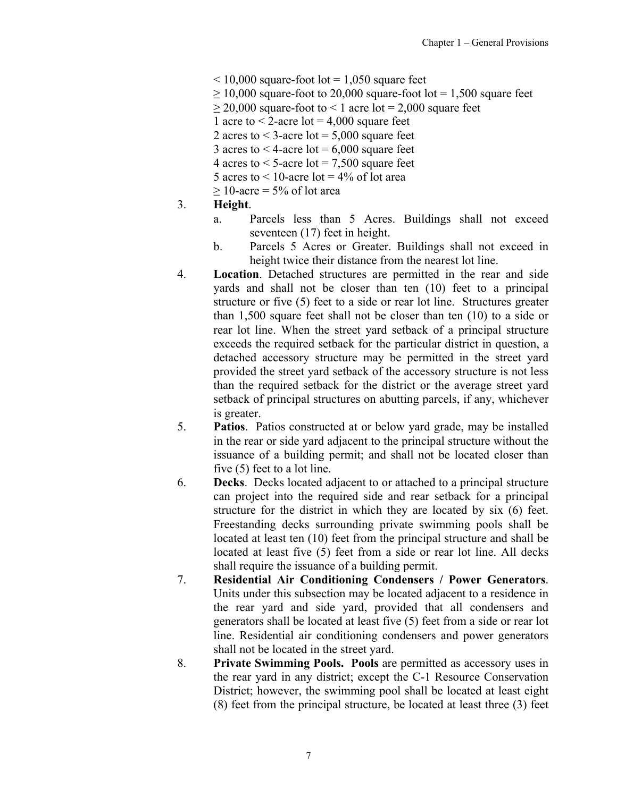- $<$  10,000 square-foot lot = 1,050 square feet
- $\geq 10,000$  square-foot to 20,000 square-foot lot = 1,500 square feet
	- $\geq$  20,000 square-foot to < 1 acre lot = 2,000 square feet
	- 1 acre to  $\leq$  2-acre lot = 4,000 square feet
	- 2 acres to  $\leq$  3-acre lot = 5,000 square feet
- 3 acres to  $<$  4-acre lot = 6,000 square feet
- 4 acres to  $\leq$  5-acre lot = 7,500 square feet
- 5 acres to  $\leq 10$ -acre lot = 4% of lot area
- $> 10$ -acre = 5% of lot area
- 3. **Height**.
	- a. Parcels less than 5 Acres. Buildings shall not exceed seventeen (17) feet in height.
	- b. Parcels 5 Acres or Greater. Buildings shall not exceed in height twice their distance from the nearest lot line.
- 4. **Location**. Detached structures are permitted in the rear and side yards and shall not be closer than ten (10) feet to a principal structure or five (5) feet to a side or rear lot line. Structures greater than 1,500 square feet shall not be closer than ten (10) to a side or rear lot line. When the street yard setback of a principal structure exceeds the required setback for the particular district in question, a detached accessory structure may be permitted in the street yard provided the street yard setback of the accessory structure is not less than the required setback for the district or the average street yard setback of principal structures on abutting parcels, if any, whichever is greater.
- 5. **Patios**. Patios constructed at or below yard grade, may be installed in the rear or side yard adjacent to the principal structure without the issuance of a building permit; and shall not be located closer than five (5) feet to a lot line.
- 6. **Decks**. Decks located adjacent to or attached to a principal structure can project into the required side and rear setback for a principal structure for the district in which they are located by six (6) feet. Freestanding decks surrounding private swimming pools shall be located at least ten (10) feet from the principal structure and shall be located at least five (5) feet from a side or rear lot line. All decks shall require the issuance of a building permit.
- 7. **Residential Air Conditioning Condensers / Power Generators**. Units under this subsection may be located adjacent to a residence in the rear yard and side yard, provided that all condensers and generators shall be located at least five (5) feet from a side or rear lot line. Residential air conditioning condensers and power generators shall not be located in the street yard.
- 8. **Private Swimming Pools. Pools** are permitted as accessory uses in the rear yard in any district; except the C-1 Resource Conservation District; however, the swimming pool shall be located at least eight (8) feet from the principal structure, be located at least three (3) feet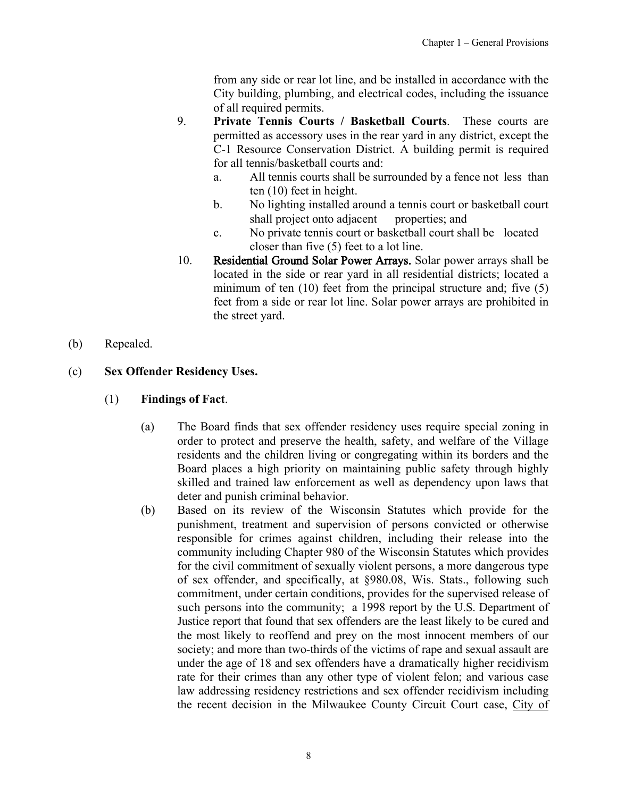from any side or rear lot line, and be installed in accordance with the City building, plumbing, and electrical codes, including the issuance of all required permits.

- 9. **Private Tennis Courts / Basketball Courts**. These courts are permitted as accessory uses in the rear yard in any district, except the C-1 Resource Conservation District. A building permit is required for all tennis/basketball courts and:
	- a. All tennis courts shall be surrounded by a fence not less than ten (10) feet in height.
	- b. No lighting installed around a tennis court or basketball court shall project onto adjacent properties; and
	- c. No private tennis court or basketball court shall be located closer than five (5) feet to a lot line.
- 10. Residential Ground Solar Power Arrays. Solar power arrays shall be located in the side or rear yard in all residential districts; located a minimum of ten (10) feet from the principal structure and; five (5) feet from a side or rear lot line. Solar power arrays are prohibited in the street yard.
- (b) Repealed.

## (c) **Sex Offender Residency Uses.**

- (1) **Findings of Fact**.
	- (a) The Board finds that sex offender residency uses require special zoning in order to protect and preserve the health, safety, and welfare of the Village residents and the children living or congregating within its borders and the Board places a high priority on maintaining public safety through highly skilled and trained law enforcement as well as dependency upon laws that deter and punish criminal behavior.
	- (b) Based on its review of the Wisconsin Statutes which provide for the punishment, treatment and supervision of persons convicted or otherwise responsible for crimes against children, including their release into the community including Chapter 980 of the Wisconsin Statutes which provides for the civil commitment of sexually violent persons, a more dangerous type of sex offender, and specifically, at §980.08, Wis. Stats., following such commitment, under certain conditions, provides for the supervised release of such persons into the community; a 1998 report by the U.S. Department of Justice report that found that sex offenders are the least likely to be cured and the most likely to reoffend and prey on the most innocent members of our society; and more than two-thirds of the victims of rape and sexual assault are under the age of 18 and sex offenders have a dramatically higher recidivism rate for their crimes than any other type of violent felon; and various case law addressing residency restrictions and sex offender recidivism including the recent decision in the Milwaukee County Circuit Court case, City of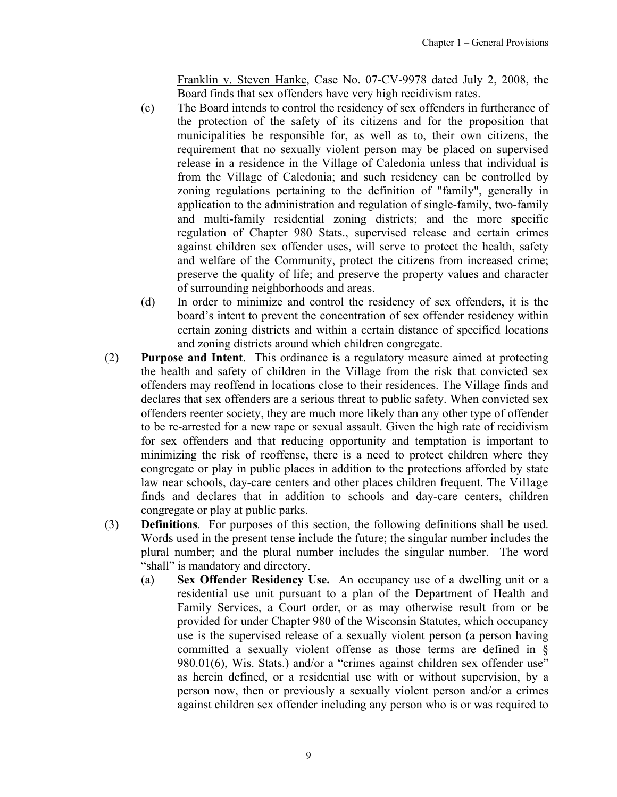Franklin v. Steven Hanke, Case No. 07-CV-9978 dated July 2, 2008, the Board finds that sex offenders have very high recidivism rates.

- (c) The Board intends to control the residency of sex offenders in furtherance of the protection of the safety of its citizens and for the proposition that municipalities be responsible for, as well as to, their own citizens, the requirement that no sexually violent person may be placed on supervised release in a residence in the Village of Caledonia unless that individual is from the Village of Caledonia; and such residency can be controlled by zoning regulations pertaining to the definition of "family", generally in application to the administration and regulation of single-family, two-family and multi-family residential zoning districts; and the more specific regulation of Chapter 980 Stats., supervised release and certain crimes against children sex offender uses, will serve to protect the health, safety and welfare of the Community, protect the citizens from increased crime; preserve the quality of life; and preserve the property values and character of surrounding neighborhoods and areas.
- (d) In order to minimize and control the residency of sex offenders, it is the board's intent to prevent the concentration of sex offender residency within certain zoning districts and within a certain distance of specified locations and zoning districts around which children congregate.
- (2) **Purpose and Intent**. This ordinance is a regulatory measure aimed at protecting the health and safety of children in the Village from the risk that convicted sex offenders may reoffend in locations close to their residences. The Village finds and declares that sex offenders are a serious threat to public safety. When convicted sex offenders reenter society, they are much more likely than any other type of offender to be re-arrested for a new rape or sexual assault. Given the high rate of recidivism for sex offenders and that reducing opportunity and temptation is important to minimizing the risk of reoffense, there is a need to protect children where they congregate or play in public places in addition to the protections afforded by state law near schools, day-care centers and other places children frequent. The Village finds and declares that in addition to schools and day-care centers, children congregate or play at public parks.
- (3) **Definitions**. For purposes of this section, the following definitions shall be used. Words used in the present tense include the future; the singular number includes the plural number; and the plural number includes the singular number. The word "shall" is mandatory and directory.
	- (a) **Sex Offender Residency Use.** An occupancy use of a dwelling unit or a residential use unit pursuant to a plan of the Department of Health and Family Services, a Court order, or as may otherwise result from or be provided for under Chapter 980 of the Wisconsin Statutes, which occupancy use is the supervised release of a sexually violent person (a person having committed a sexually violent offense as those terms are defined in § 980.01(6), Wis. Stats.) and/or a "crimes against children sex offender use" as herein defined, or a residential use with or without supervision, by a person now, then or previously a sexually violent person and/or a crimes against children sex offender including any person who is or was required to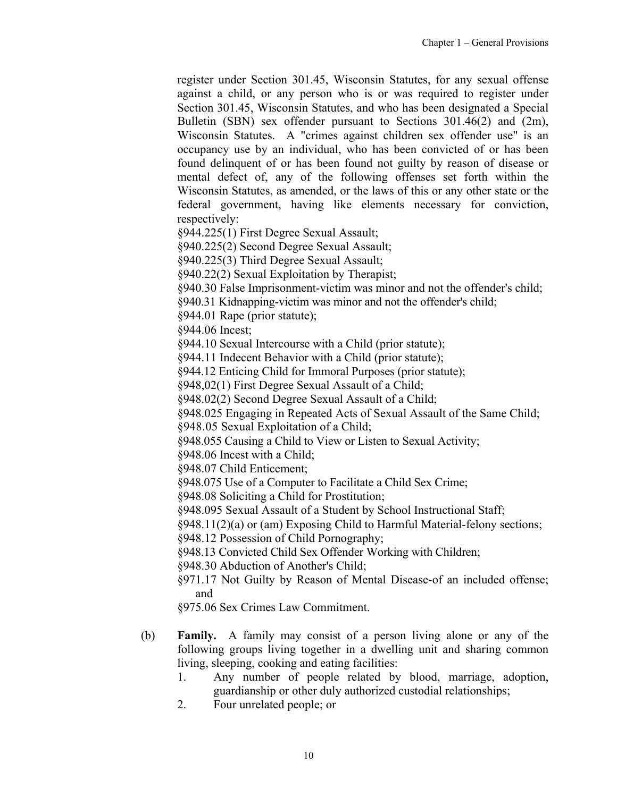register under Section 301.45, Wisconsin Statutes, for any sexual offense against a child, or any person who is or was required to register under Section 301.45, Wisconsin Statutes, and who has been designated a Special Bulletin (SBN) sex offender pursuant to Sections 301.46(2) and (2m), Wisconsin Statutes. A "crimes against children sex offender use" is an occupancy use by an individual, who has been convicted of or has been found delinquent of or has been found not guilty by reason of disease or mental defect of, any of the following offenses set forth within the Wisconsin Statutes, as amended, or the laws of this or any other state or the federal government, having like elements necessary for conviction, respectively:

§944.225(1) First Degree Sexual Assault;

§940.225(2) Second Degree Sexual Assault;

§940.225(3) Third Degree Sexual Assault;

§940.22(2) Sexual Exploitation by Therapist;

§940.30 False Imprisonment-victim was minor and not the offender's child;

§940.31 Kidnapping-victim was minor and not the offender's child;

§944.01 Rape (prior statute);

§944.06 Incest;

§944.10 Sexual Intercourse with a Child (prior statute);

§944.11 Indecent Behavior with a Child (prior statute);

§944.12 Enticing Child for Immoral Purposes (prior statute);

§948,02(1) First Degree Sexual Assault of a Child;

§948.02(2) Second Degree Sexual Assault of a Child;

§948.025 Engaging in Repeated Acts of Sexual Assault of the Same Child;

§948.05 Sexual Exploitation of a Child;

§948.055 Causing a Child to View or Listen to Sexual Activity;

§948.06 Incest with a Child;

§948.07 Child Enticement;

§948.075 Use of a Computer to Facilitate a Child Sex Crime;

§948.08 Soliciting a Child for Prostitution;

§948.095 Sexual Assault of a Student by School Instructional Staff;

§948.11(2)(a) or (am) Exposing Child to Harmful Material-felony sections;

§948.12 Possession of Child Pornography;

§948.13 Convicted Child Sex Offender Working with Children;

§948.30 Abduction of Another's Child;

§971.17 Not Guilty by Reason of Mental Disease-of an included offense; and

§975.06 Sex Crimes Law Commitment.

- (b) **Family.** A family may consist of a person living alone or any of the following groups living together in a dwelling unit and sharing common living, sleeping, cooking and eating facilities:
	- 1. Any number of people related by blood, marriage, adoption, guardianship or other duly authorized custodial relationships;
	- 2. Four unrelated people; or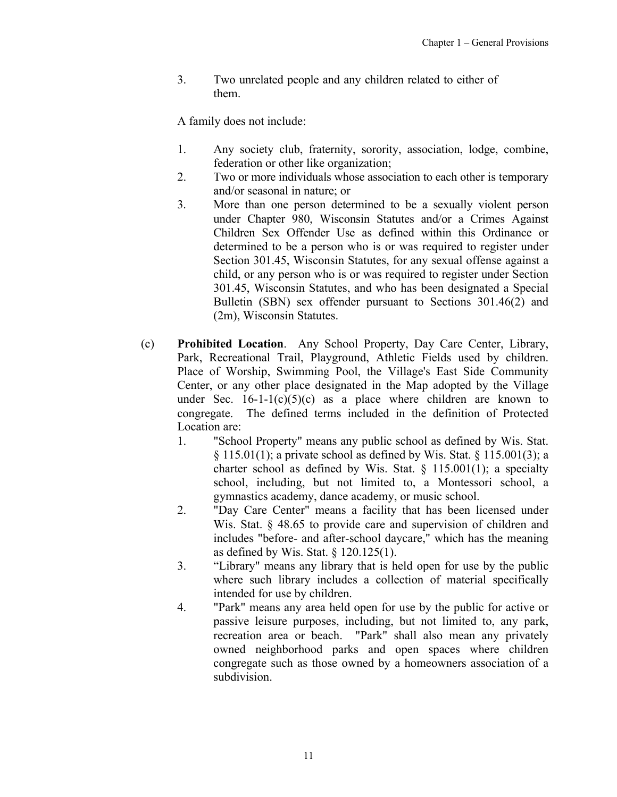3. Two unrelated people and any children related to either of them.

A family does not include:

- 1. Any society club, fraternity, sorority, association, lodge, combine, federation or other like organization;
- 2. Two or more individuals whose association to each other is temporary and/or seasonal in nature; or
- 3. More than one person determined to be a sexually violent person under Chapter 980, Wisconsin Statutes and/or a Crimes Against Children Sex Offender Use as defined within this Ordinance or determined to be a person who is or was required to register under Section 301.45, Wisconsin Statutes, for any sexual offense against a child, or any person who is or was required to register under Section 301.45, Wisconsin Statutes, and who has been designated a Special Bulletin (SBN) sex offender pursuant to Sections 301.46(2) and (2m), Wisconsin Statutes.
- (c) **Prohibited Location**. Any School Property, Day Care Center, Library, Park, Recreational Trail, Playground, Athletic Fields used by children. Place of Worship, Swimming Pool, the Village's East Side Community Center, or any other place designated in the Map adopted by the Village under Sec.  $16-1-1(c)(5)(c)$  as a place where children are known to congregate. The defined terms included in the definition of Protected Location are:
	- 1. "School Property" means any public school as defined by Wis. Stat.  $\S$  115.01(1); a private school as defined by Wis. Stat.  $\S$  115.001(3); a charter school as defined by Wis. Stat.  $\S$  115.001(1); a specialty school, including, but not limited to, a Montessori school, a gymnastics academy, dance academy, or music school.
	- 2. "Day Care Center" means a facility that has been licensed under Wis. Stat. § 48.65 to provide care and supervision of children and includes "before- and after-school daycare," which has the meaning as defined by Wis. Stat. § 120.125(1).
	- 3. "Library" means any library that is held open for use by the public where such library includes a collection of material specifically intended for use by children.
	- 4. "Park" means any area held open for use by the public for active or passive leisure purposes, including, but not limited to, any park, recreation area or beach. "Park" shall also mean any privately owned neighborhood parks and open spaces where children congregate such as those owned by a homeowners association of a subdivision.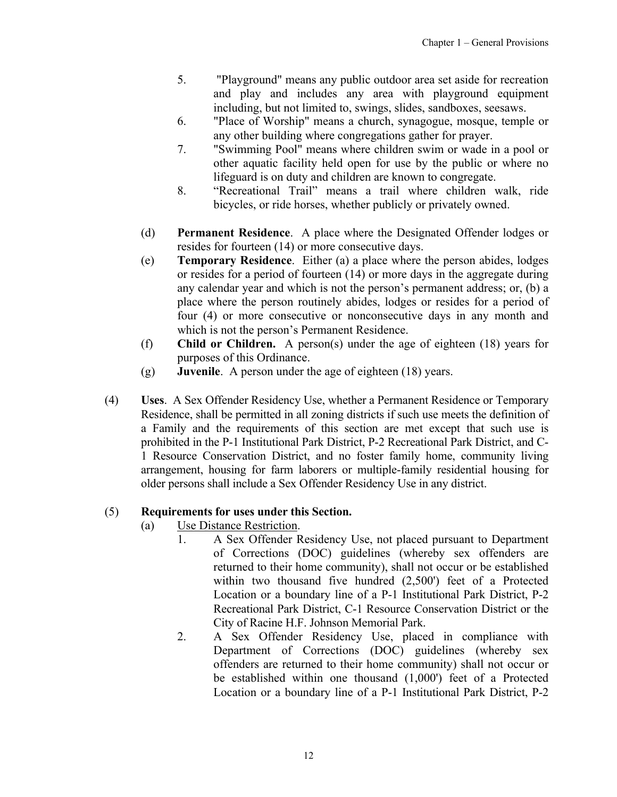- 5. "Playground" means any public outdoor area set aside for recreation and play and includes any area with playground equipment including, but not limited to, swings, slides, sandboxes, seesaws.
- 6. "Place of Worship" means a church, synagogue, mosque, temple or any other building where congregations gather for prayer.
- 7. "Swimming Pool" means where children swim or wade in a pool or other aquatic facility held open for use by the public or where no lifeguard is on duty and children are known to congregate.
- 8. "Recreational Trail" means a trail where children walk, ride bicycles, or ride horses, whether publicly or privately owned.
- (d) **Permanent Residence**. A place where the Designated Offender lodges or resides for fourteen (14) or more consecutive days.
- (e) **Temporary Residence**. Either (a) a place where the person abides, lodges or resides for a period of fourteen (14) or more days in the aggregate during any calendar year and which is not the person's permanent address; or, (b) a place where the person routinely abides, lodges or resides for a period of four (4) or more consecutive or nonconsecutive days in any month and which is not the person's Permanent Residence.
- (f) **Child or Children.** A person(s) under the age of eighteen (18) years for purposes of this Ordinance.
- (g) **Juvenile**. A person under the age of eighteen (18) years.
- (4) **Uses**. A Sex Offender Residency Use, whether a Permanent Residence or Temporary Residence, shall be permitted in all zoning districts if such use meets the definition of a Family and the requirements of this section are met except that such use is prohibited in the P-1 Institutional Park District, P-2 Recreational Park District, and C-1 Resource Conservation District, and no foster family home, community living arrangement, housing for farm laborers or multiple-family residential housing for older persons shall include a Sex Offender Residency Use in any district.

#### (5) **Requirements for uses under this Section.**

- (a) Use Distance Restriction.
	- 1. A Sex Offender Residency Use, not placed pursuant to Department of Corrections (DOC) guidelines (whereby sex offenders are returned to their home community), shall not occur or be established within two thousand five hundred (2,500') feet of a Protected Location or a boundary line of a P-1 Institutional Park District, P-2 Recreational Park District, C-1 Resource Conservation District or the City of Racine H.F. Johnson Memorial Park.
	- 2. A Sex Offender Residency Use, placed in compliance with Department of Corrections (DOC) guidelines (whereby sex offenders are returned to their home community) shall not occur or be established within one thousand (1,000') feet of a Protected Location or a boundary line of a P-1 Institutional Park District, P-2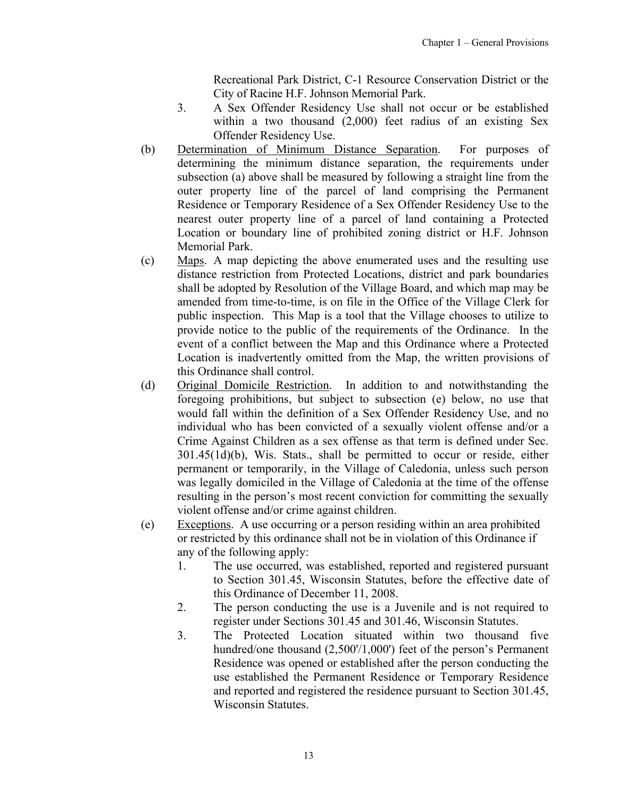Recreational Park District, C-1 Resource Conservation District or the City of Racine H.F. Johnson Memorial Park.

- 3. A Sex Offender Residency Use shall not occur or be established within a two thousand (2,000) feet radius of an existing Sex Offender Residency Use.
- (b) Determination of Minimum Distance Separation. For purposes of determining the minimum distance separation, the requirements under subsection (a) above shall be measured by following a straight line from the outer property line of the parcel of land comprising the Permanent Residence or Temporary Residence of a Sex Offender Residency Use to the nearest outer property line of a parcel of land containing a Protected Location or boundary line of prohibited zoning district or H.F. Johnson Memorial Park.
- (c) Maps. A map depicting the above enumerated uses and the resulting use distance restriction from Protected Locations, district and park boundaries shall be adopted by Resolution of the Village Board, and which map may be amended from time-to-time, is on file in the Office of the Village Clerk for public inspection. This Map is a tool that the Village chooses to utilize to provide notice to the public of the requirements of the Ordinance. In the event of a conflict between the Map and this Ordinance where a Protected Location is inadvertently omitted from the Map, the written provisions of this Ordinance shall control.
- (d) Original Domicile Restriction. In addition to and notwithstanding the foregoing prohibitions, but subject to subsection (e) below, no use that would fall within the definition of a Sex Offender Residency Use, and no individual who has been convicted of a sexually violent offense and/or a Crime Against Children as a sex offense as that term is defined under Sec. 301.45(1d)(b), Wis. Stats., shall be permitted to occur or reside, either permanent or temporarily, in the Village of Caledonia, unless such person was legally domiciled in the Village of Caledonia at the time of the offense resulting in the person's most recent conviction for committing the sexually violent offense and/or crime against children.
- (e) Exceptions. A use occurring or a person residing within an area prohibited or restricted by this ordinance shall not be in violation of this Ordinance if any of the following apply:
	- 1. The use occurred, was established, reported and registered pursuant to Section 301.45, Wisconsin Statutes, before the effective date of this Ordinance of December 11, 2008.
	- 2. The person conducting the use is a Juvenile and is not required to register under Sections 301.45 and 301.46, Wisconsin Statutes.
	- 3. The Protected Location situated within two thousand five hundred/one thousand (2,500'/1,000') feet of the person's Permanent Residence was opened or established after the person conducting the use established the Permanent Residence or Temporary Residence and reported and registered the residence pursuant to Section 301.45, Wisconsin Statutes.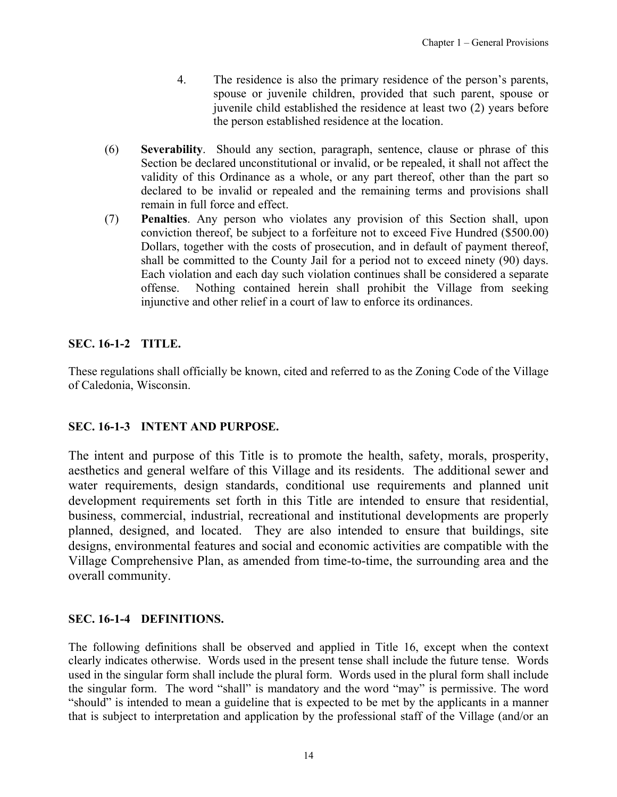- 4. The residence is also the primary residence of the person's parents, spouse or juvenile children, provided that such parent, spouse or juvenile child established the residence at least two (2) years before the person established residence at the location.
- <span id="page-13-0"></span>(6) **Severability**. Should any section, paragraph, sentence, clause or phrase of this Section be declared unconstitutional or invalid, or be repealed, it shall not affect the validity of this Ordinance as a whole, or any part thereof, other than the part so declared to be invalid or repealed and the remaining terms and provisions shall remain in full force and effect.
- (7) **Penalties**. Any person who violates any provision of this Section shall, upon conviction thereof, be subject to a forfeiture not to exceed Five Hundred (\$500.00) Dollars, together with the costs of prosecution, and in default of payment thereof, shall be committed to the County Jail for a period not to exceed ninety (90) days. Each violation and each day such violation continues shall be considered a separate offense. Nothing contained herein shall prohibit the Village from seeking injunctive and other relief in a court of law to enforce its ordinances.

## **SEC. 16-1-2 TITLE.**

These regulations shall officially be known, cited and referred to as the Zoning Code of the Village of Caledonia, Wisconsin.

### **SEC. 16-1-3 INTENT AND PURPOSE.**

The intent and purpose of this Title is to promote the health, safety, morals, prosperity, aesthetics and general welfare of this Village and its residents. The additional sewer and water requirements, design standards, conditional use requirements and planned unit development requirements set forth in this Title are intended to ensure that residential, business, commercial, industrial, recreational and institutional developments are properly planned, designed, and located. They are also intended to ensure that buildings, site designs, environmental features and social and economic activities are compatible with the Village Comprehensive Plan, as amended from time-to-time, the surrounding area and the overall community.

### **SEC. 16-1-4 DEFINITIONS.**

The following definitions shall be observed and applied in Title 16, except when the context clearly indicates otherwise. Words used in the present tense shall include the future tense. Words used in the singular form shall include the plural form. Words used in the plural form shall include the singular form. The word "shall" is mandatory and the word "may" is permissive. The word "should" is intended to mean a guideline that is expected to be met by the applicants in a manner that is subject to interpretation and application by the professional staff of the Village (and/or an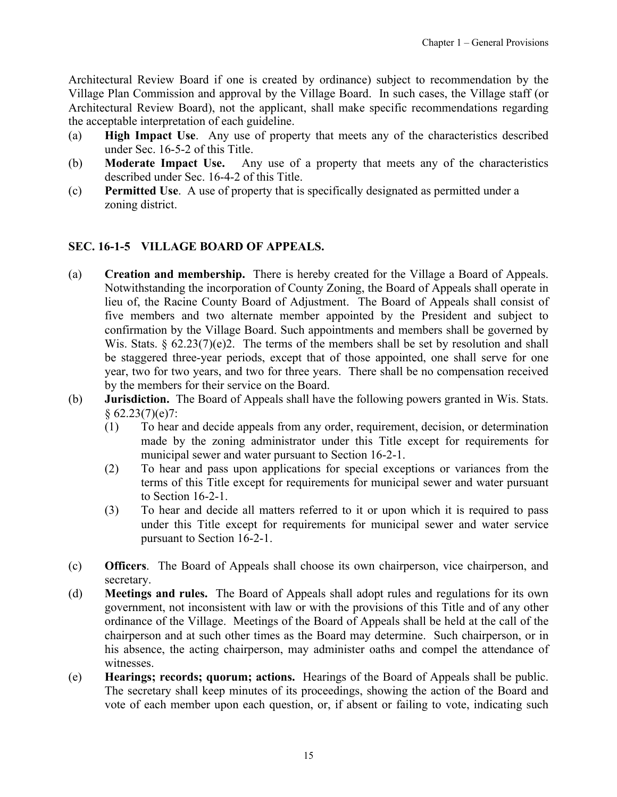<span id="page-14-0"></span>Architectural Review Board if one is created by ordinance) subject to recommendation by the Village Plan Commission and approval by the Village Board. In such cases, the Village staff (or Architectural Review Board), not the applicant, shall make specific recommendations regarding the acceptable interpretation of each guideline.

- (a) **High Impact Use**. Any use of property that meets any of the characteristics described under Sec. 16-5-2 of this Title.
- (b) **Moderate Impact Use.** Any use of a property that meets any of the characteristics described under Sec. 16-4-2 of this Title.
- (c) **Permitted Use**. A use of property that is specifically designated as permitted under a zoning district.

## **SEC. 16-1-5 VILLAGE BOARD OF APPEALS.**

- (a) **Creation and membership.** There is hereby created for the Village a Board of Appeals. Notwithstanding the incorporation of County Zoning, the Board of Appeals shall operate in lieu of, the Racine County Board of Adjustment. The Board of Appeals shall consist of five members and two alternate member appointed by the President and subject to confirmation by the Village Board. Such appointments and members shall be governed by Wis. Stats.  $\S$  62.23(7)(e)2. The terms of the members shall be set by resolution and shall be staggered three-year periods, except that of those appointed, one shall serve for one year, two for two years, and two for three years. There shall be no compensation received by the members for their service on the Board.
- (b) **Jurisdiction.** The Board of Appeals shall have the following powers granted in Wis. Stats.  $§ 62.23(7)(e)7:$ 
	- (1) To hear and decide appeals from any order, requirement, decision, or determination made by the zoning administrator under this Title except for requirements for municipal sewer and water pursuant to Section 16-2-1.
	- (2) To hear and pass upon applications for special exceptions or variances from the terms of this Title except for requirements for municipal sewer and water pursuant to Section 16-2-1.
	- (3) To hear and decide all matters referred to it or upon which it is required to pass under this Title except for requirements for municipal sewer and water service pursuant to Section 16-2-1.
- (c) **Officers**. The Board of Appeals shall choose its own chairperson, vice chairperson, and secretary.
- (d) **Meetings and rules.** The Board of Appeals shall adopt rules and regulations for its own government, not inconsistent with law or with the provisions of this Title and of any other ordinance of the Village. Meetings of the Board of Appeals shall be held at the call of the chairperson and at such other times as the Board may determine. Such chairperson, or in his absence, the acting chairperson, may administer oaths and compel the attendance of witnesses.
- (e) **Hearings; records; quorum; actions.** Hearings of the Board of Appeals shall be public. The secretary shall keep minutes of its proceedings, showing the action of the Board and vote of each member upon each question, or, if absent or failing to vote, indicating such